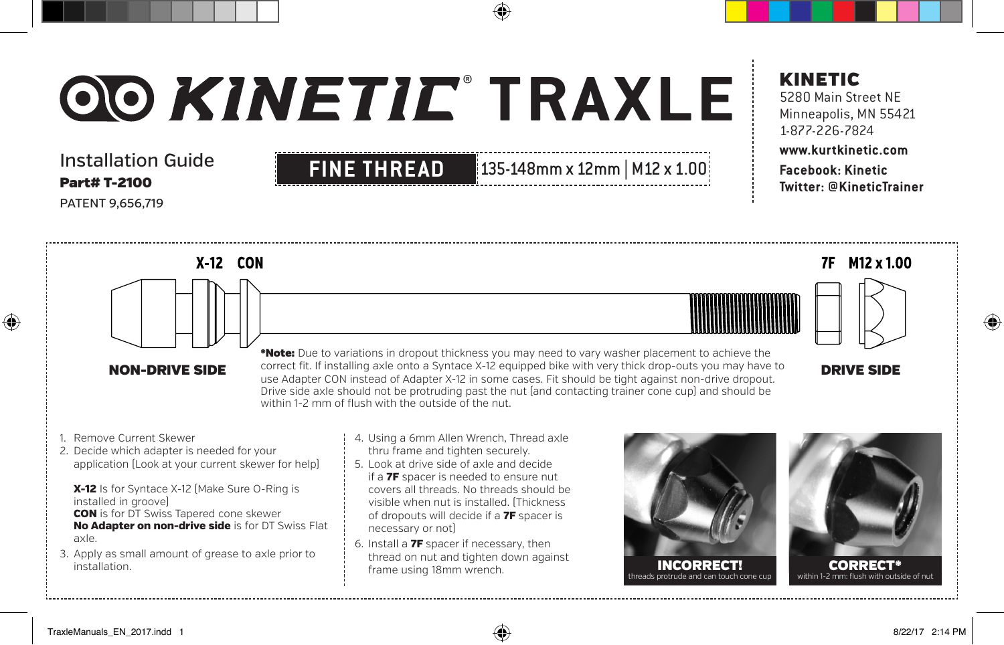## Installation Guide Part# T-2100 PATENT 9,656,719

## **FINE THREAD** 135-148mm x 12mm | M12 x 1.00

## KINETIC

5280 Main Street NE Minneapolis, MN 55421 1-877-226-7824

### **www.kurtkinetic.com Facebook: Kinetic Twitter: @KineticTrainer**



1. Remove Current Skewer

⊕

2. Decide which adapter is needed for your application (Look at your current skewer for help)

X-12 Is for Syntace X-12 (Make Sure O-Ring is installed in groove) **CON** is for DT Swiss Tapered cone skewer No Adapter on non-drive side is for DT Swiss Flat axle.

- 3. Apply as small amount of grease to axle prior to installation.
- of dropouts will decide if a 7F spacer is necessary or not)
- 6. Install a 7F spacer if necessary, then thread on nut and tighten down against frame using 18mm wrench.



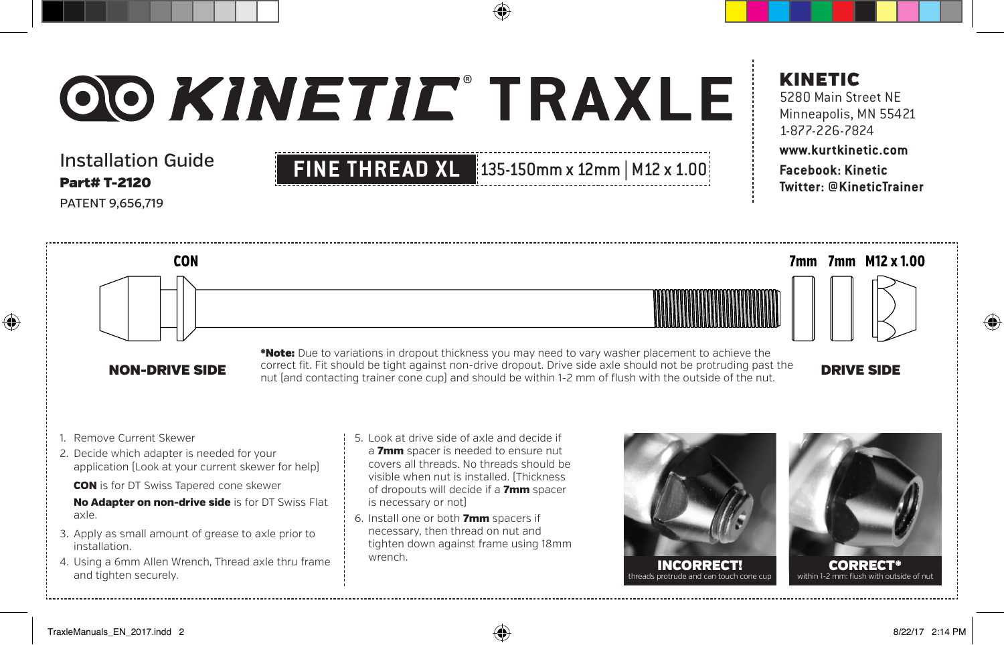## Installation Guide Part# T-2120 PATENT 9,656,719

## KINETIC

5280 Main Street NE Minneapolis, MN 55421 1-877-226-7824

### **www.kurtkinetic.com Facebook: Kinetic Twitter: @KineticTrainer**



**CON** 

NON-DRIVE SIDE correct in. Fit should be tight against non-drive dropout. Drive side axie should not be protruding past the **DRIVE SIDE**<br>nut (and contacting trainer cone cup) and should be within 1-2 mm of flush with the o \*Note: Due to variations in dropout thickness you may need to vary washer placement to achieve the correct fit. Fit should be tight against non-drive dropout. Drive side axle should not be protruding past the

**FINE THREAD XL 135-150mm x 12mm | M12 x 1.00** 

1. Remove Current Skewer

⊕

- 2. Decide which adapter is needed for your application (Look at your current skewer for help)
	- CON is for DT Swiss Tapered cone skewer

No Adapter on non-drive side is for DT Swiss Flat axle.

- 3. Apply as small amount of grease to axle prior to installation.
- 4. Using a 6mm Allen Wrench, Thread axle thru frame and tighten securely.
- 5. Look at drive side of axle and decide if a 7mm spacer is needed to ensure nut covers all threads. No threads should be visible when nut is installed. (Thickness of dropouts will decide if a 7mm spacer is necessary or not)
- 6. Install one or both 7mm spacers if necessary, then thread on nut and tighten down against frame using 18mm wrench.

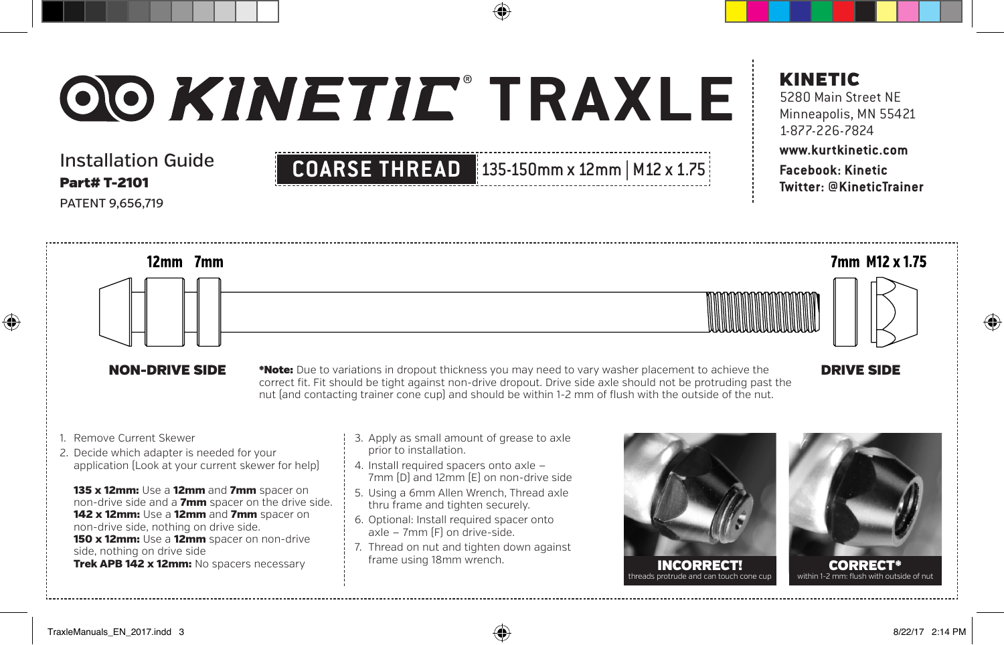Installation Guide Part# T-2101 PATENT 9,656,719



### KINETIC 5280 Main Street NE Minneapolis, MN 55421

## 1-877-226-7824 **www.kurtkinetic.com Facebook: Kinetic**

**Twitter: @KineticTrainer**

7mm M12 x 1.75 12mm 7mm

NON-DRIVE SIDE \*Note: Due to variations in dropout thickness you may need to vary washer placement to achieve the **DRIVE SIDE** correct fit. Fit should be tight against non-drive dropout. Drive side axle should not be protruding past the nut (and contacting trainer cone cup) and should be within 1-2 mm of flush with the outside of the nut.

1. Remove Current Skewer

⊕

2. Decide which adapter is needed for your application (Look at your current skewer for help)

135 x 12mm: Use a 12mm and 7mm spacer on non-drive side and a 7mm spacer on the drive side. 142 x 12mm: Use a 12mm and 7mm spacer on non-drive side, nothing on drive side. 150 x 12mm: Use a 12mm spacer on non-drive side, nothing on drive side Trek APB 142 x 12mm: No spacers necessary

- 3. Apply as small amount of grease to axle prior to installation.
- 4. Install required spacers onto axle 7mm (D) and 12mm (E) on non-drive side
- 5. Using a 6mm Allen Wrench, Thread axle thru frame and tighten securely.
- 6. Optional: Install required spacer onto axle — 7mm (F) on drive-side.
- 7. Thread on nut and tighten down against frame using 18mm wrench.